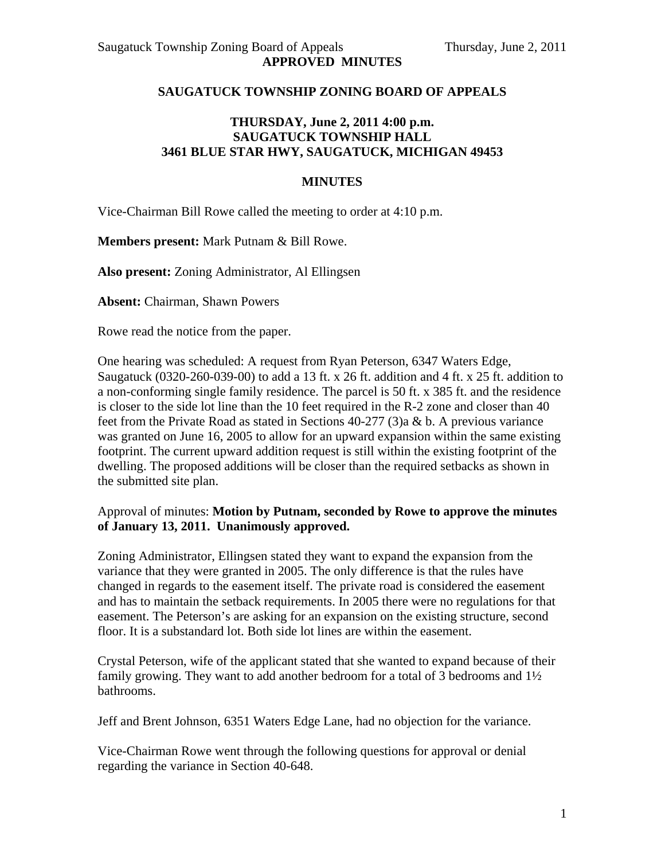### **SAUGATUCK TOWNSHIP ZONING BOARD OF APPEALS**

## **THURSDAY, June 2, 2011 4:00 p.m. SAUGATUCK TOWNSHIP HALL 3461 BLUE STAR HWY, SAUGATUCK, MICHIGAN 49453**

### **MINUTES**

Vice-Chairman Bill Rowe called the meeting to order at 4:10 p.m.

**Members present:** Mark Putnam & Bill Rowe.

**Also present:** Zoning Administrator, Al Ellingsen

**Absent:** Chairman, Shawn Powers

Rowe read the notice from the paper.

One hearing was scheduled: A request from Ryan Peterson, 6347 Waters Edge, Saugatuck (0320-260-039-00) to add a 13 ft. x 26 ft. addition and 4 ft. x 25 ft. addition to a non-conforming single family residence. The parcel is 50 ft. x 385 ft. and the residence is closer to the side lot line than the 10 feet required in the R-2 zone and closer than 40 feet from the Private Road as stated in Sections 40-277 (3)a & b. A previous variance was granted on June 16, 2005 to allow for an upward expansion within the same existing footprint. The current upward addition request is still within the existing footprint of the dwelling. The proposed additions will be closer than the required setbacks as shown in the submitted site plan.

### Approval of minutes: **Motion by Putnam, seconded by Rowe to approve the minutes of January 13, 2011. Unanimously approved.**

Zoning Administrator, Ellingsen stated they want to expand the expansion from the variance that they were granted in 2005. The only difference is that the rules have changed in regards to the easement itself. The private road is considered the easement and has to maintain the setback requirements. In 2005 there were no regulations for that easement. The Peterson's are asking for an expansion on the existing structure, second floor. It is a substandard lot. Both side lot lines are within the easement.

Crystal Peterson, wife of the applicant stated that she wanted to expand because of their family growing. They want to add another bedroom for a total of 3 bedrooms and 1½ bathrooms.

Jeff and Brent Johnson, 6351 Waters Edge Lane, had no objection for the variance.

Vice-Chairman Rowe went through the following questions for approval or denial regarding the variance in Section 40-648.